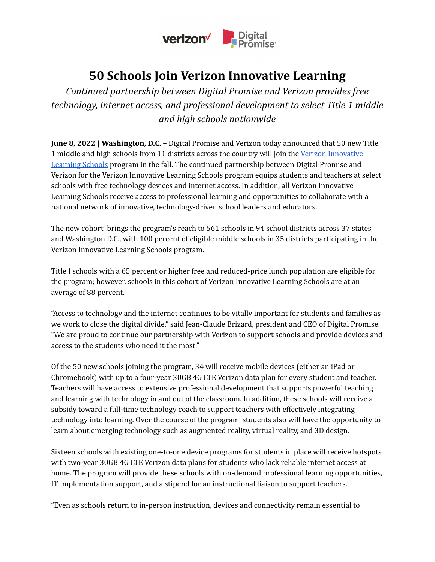

## **50 Schools Join Verizon Innovative Learning**

*Continued partnership between Digital Promise and Verizon provides free technology, internet access, and professional development to select Title 1 middle and high schools nationwide*

**June 8, 2022** | **Washington, D.C.** – Digital Promise and Verizon today announced that 50 new Title 1 middle and high schools from 11 districts across the country will join the Verizon [Innovative](https://verizon.digitalpromise.org/) [Learning](https://verizon.digitalpromise.org/) Schools program in the fall. The continued partnership between Digital Promise and Verizon for the Verizon Innovative Learning Schools program equips students and teachers at select schools with free technology devices and internet access. In addition, all Verizon Innovative Learning Schools receive access to professional learning and opportunities to collaborate with a national network of innovative, technology-driven school leaders and educators.

The new cohort brings the program's reach to 561 schools in 94 school districts across 37 states and Washington D.C., with 100 percent of eligible middle schools in 35 districts participating in the Verizon Innovative Learning Schools program.

Title I schools with a 65 percent or higher free and reduced-price lunch population are eligible for the program; however, schools in this cohort of Verizon Innovative Learning Schools are at an average of 88 percent.

"Access to technology and the internet continues to be vitally important for students and families as we work to close the digital divide," said Jean-Claude Brizard, president and CEO of Digital Promise. "We are proud to continue our partnership with Verizon to support schools and provide devices and access to the students who need it the most."

Of the 50 new schools joining the program, 34 will receive mobile devices (either an iPad or Chromebook) with up to a four-year 30GB 4G LTE Verizon data plan for every student and teacher. Teachers will have access to extensive professional development that supports powerful teaching and learning with technology in and out of the classroom. In addition, these schools will receive a subsidy toward a full-time technology coach to support teachers with effectively integrating technology into learning. Over the course of the program, students also will have the opportunity to learn about emerging technology such as augmented reality, virtual reality, and 3D design.

Sixteen schools with existing one-to-one device programs for students in place will receive hotspots with two-year 30GB 4G LTE Verizon data plans for students who lack reliable internet access at home. The program will provide these schools with on-demand professional learning opportunities, IT implementation support, and a stipend for an instructional liaison to support teachers.

"Even as schools return to in-person instruction, devices and connectivity remain essential to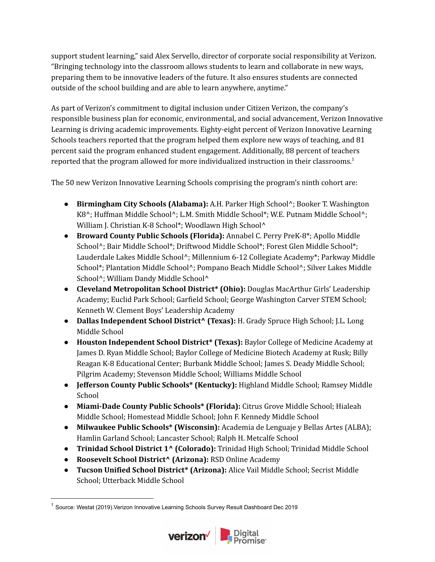support student learning," said Alex Servello, director of corporate social responsibility at Verizon. "Bringing technology into the classroom allows students to learn and collaborate in new ways, preparing them to be innovative leaders of the future. It also ensures students are connected outside of the school building and are able to learn anywhere, anytime."

As part of Verizon's commitment to digital inclusion under Citizen Verizon, the company's responsible business plan for economic, environmental, and social advancement, Verizon Innovative Learning is driving academic improvements. Eighty-eight percent of Verizon Innovative Learning Schools teachers reported that the program helped them explore new ways of teaching, and 81 percent said the program enhanced student engagement. Additionally, 88 percent of teachers reported that the program allowed for more individualized instruction in their classrooms.<sup>1</sup>

The 50 new Verizon Innovative Learning Schools comprising the program's ninth cohort are:

- **● Birmingham City Schools (Alabama):** A.H. Parker High School^; Booker T. Washington K8^; Huffman Middle School^; L.M. Smith Middle School\*; W.E. Putnam Middle School^; William J. Christian K-8 School\*; Woodlawn High School^
- **● Broward County Public Schools (Florida):** Annabel C. Perry PreK-8\*; Apollo Middle School<sup>^</sup>; Bair Middle School\*; Driftwood Middle School\*; Forest Glen Middle School\*; Lauderdale Lakes Middle School^; Millennium 6-12 Collegiate Academy\*; Parkway Middle School\*; Plantation Middle School^; Pompano Beach Middle School^; Silver Lakes Middle School<sup>^</sup>; William Dandy Middle School<sup>^</sup>
- **● Cleveland Metropolitan School District\* (Ohio):** Douglas MacArthur Girls' Leadership Academy; Euclid Park School; Garfield School; George Washington Carver STEM School; Kenneth W. Clement Boys' Leadership Academy
- **● Dallas Independent School District^ (Texas):** H. Grady Spruce High School; J.L. Long Middle School
- **● Houston Independent School District\* (Texas):** Baylor College of Medicine Academy at James D. Ryan Middle School; Baylor College of Medicine Biotech Academy at Rusk; Billy Reagan K-8 Educational Center; Burbank Middle School; James S. Deady Middle School; Pilgrim Academy; Stevenson Middle School; Williams Middle School
- **● Jefferson County Public Schools\* (Kentucky):** Highland Middle School; Ramsey Middle School
- **● Miami-Dade County Public Schools\* (Florida):** Citrus Grove Middle School; Hialeah Middle School; Homestead Middle School; John F. Kennedy Middle School
- **● Milwaukee Public Schools\* (Wisconsin):** Academia de Lenguaje y Bellas Artes (ALBA); Hamlin Garland School; Lancaster School; Ralph H. Metcalfe School
- **● Trinidad School District 1^ (Colorado):** Trinidad High School; Trinidad Middle School
- **● Roosevelt School District^ (Arizona):** RSD Online Academy
- **● Tucson Unified School District\* (Arizona):** Alice Vail Middle School; Secrist Middle School; Utterback Middle School

<sup>&</sup>lt;sup>1</sup> Source: Westat (2019). Verizon Innovative Learning Schools Survey Result Dashboard Dec 2019